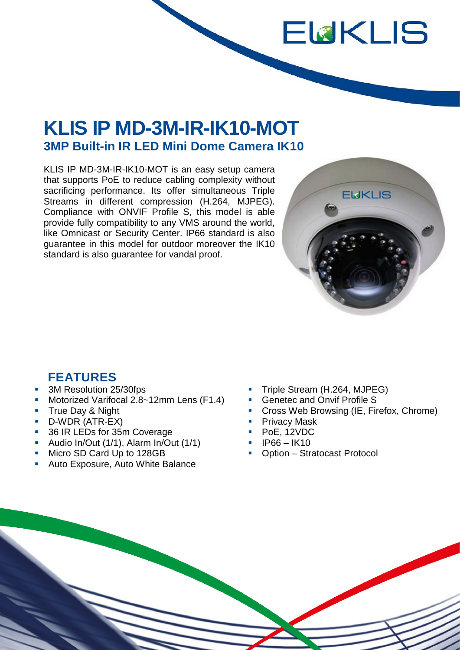## **KLIS IP MD-3M-IR-IK10-MOT 3MP Built-in IR LED Mini Dome Camera IK10**

KLIS IP MD-3M-IR-IK10-MOT is an easy setup camera that supports PoE to reduce cabling complexity without sacrificing performance. Its offer simultaneous Triple Streams in different compression (H.264, MJPEG). Compliance with ONVIF Profile S, this model is able provide fully compatibility to any VMS around the world, like Omnicast or Security Center. IP66 standard is also guarantee in this model for outdoor moreover the IK10 standard is also guarantee for vandal proof.



ELKLIS

## **FEATURES**

- 3M Resolution 25/30fps
- Motorized Varifocal 2.8~12mm Lens (F1.4)
- **True Day & Night**
- D-WDR (ATR-EX)
- 36 IR LEDs for 35m Coverage
- Audio In/Out (1/1), Alarm In/Out (1/1)
- Micro SD Card Up to 128GB
- Auto Exposure, Auto White Balance
- Triple Stream (H.264, MJPEG)
- **Genetec and Onvif Profile S**
- **Cross Web Browsing (IE, Firefox, Chrome)**
- **Privacy Mask**
- PoE, 12VDC
- $\blacksquare$  IP66 IK10
- Option Stratocast Protocol